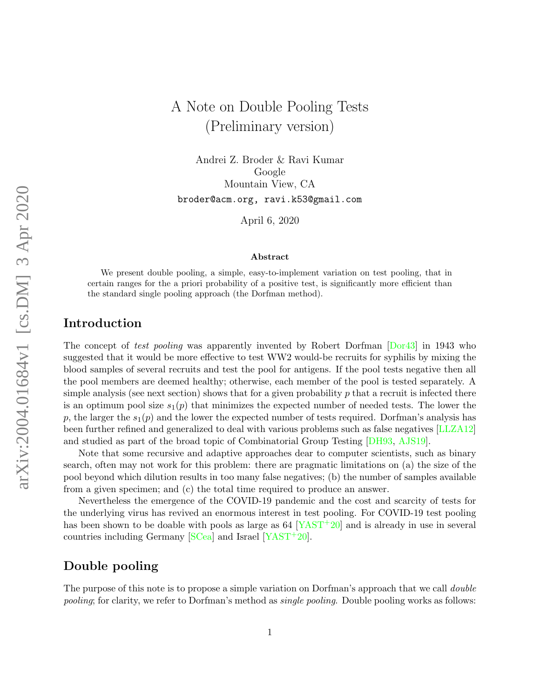Andrei Z. Broder & Ravi Kumar Google Mountain View, CA broder@acm.org, ravi.k53@gmail.com

April 6, 2020

#### Abstract

We present double pooling, a simple, easy-to-implement variation on test pooling, that in certain ranges for the a priori probability of a positive test, is significantly more efficient than the standard single pooling approach (the Dorfman method).

### Introduction

The concept of test pooling was apparently invented by Robert Dorfman [\[Dor43\]](#page-6-0) in 1943 who suggested that it would be more effective to test WW2 would-be recruits for syphilis by mixing the blood samples of several recruits and test the pool for antigens. If the pool tests negative then all the pool members are deemed healthy; otherwise, each member of the pool is tested separately. A simple analysis (see next section) shows that for a given probability  $p$  that a recruit is infected there is an optimum pool size  $s_1(p)$  that minimizes the expected number of needed tests. The lower the p, the larger the  $s_1(p)$  and the lower the expected number of tests required. Dorfman's analysis has been further refined and generalized to deal with various problems such as false negatives [\[LLZA12\]](#page-6-1) and studied as part of the broad topic of Combinatorial Group Testing [\[DH93,](#page-6-2) [AJS19\]](#page-5-0).

Note that some recursive and adaptive approaches dear to computer scientists, such as binary search, often may not work for this problem: there are pragmatic limitations on (a) the size of the pool beyond which dilution results in too many false negatives; (b) the number of samples available from a given specimen; and (c) the total time required to produce an answer.

Nevertheless the emergence of the COVID-19 pandemic and the cost and scarcity of tests for the underlying virus has revived an enormous interest in test pooling. For COVID-19 test pooling has been shown to be doable with pools as large as  $64$   $[YAST+20]$  $[YAST+20]$  and is already in use in several countries including Germany [\[SCea\]](#page-6-4) and Israel [\[YAST](#page-6-3)+20].

## Double pooling

The purpose of this note is to propose a simple variation on Dorfman's approach that we call *double* pooling; for clarity, we refer to Dorfman's method as single pooling. Double pooling works as follows: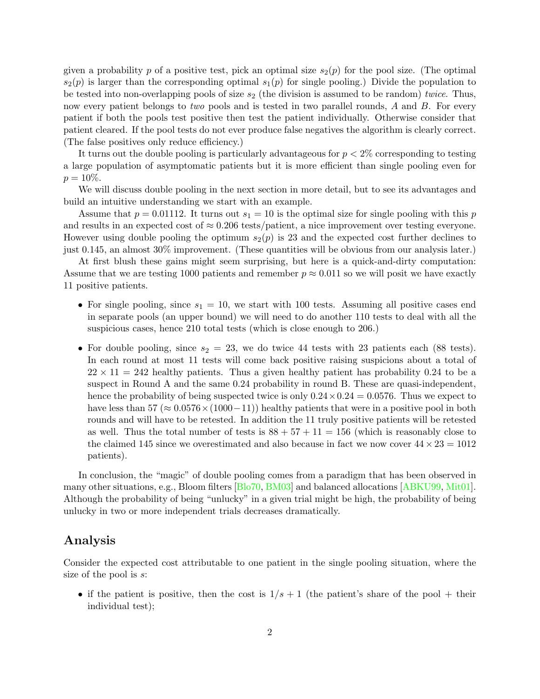given a probability p of a positive test, pick an optimal size  $s_2(p)$  for the pool size. (The optimal  $s_2(p)$  is larger than the corresponding optimal  $s_1(p)$  for single pooling.) Divide the population to be tested into non-overlapping pools of size  $s_2$  (the division is assumed to be random) twice. Thus, now every patient belongs to *two* pools and is tested in two parallel rounds, A and B. For every patient if both the pools test positive then test the patient individually. Otherwise consider that patient cleared. If the pool tests do not ever produce false negatives the algorithm is clearly correct. (The false positives only reduce efficiency.)

It turns out the double pooling is particularly advantageous for  $p < 2\%$  corresponding to testing a large population of asymptomatic patients but it is more efficient than single pooling even for  $p = 10\%.$ 

We will discuss double pooling in the next section in more detail, but to see its advantages and build an intuitive understanding we start with an example.

Assume that  $p = 0.01112$ . It turns out  $s_1 = 10$  is the optimal size for single pooling with this p and results in an expected cost of  $\approx 0.206$  tests/patient, a nice improvement over testing everyone. However using double pooling the optimum  $s_2(p)$  is 23 and the expected cost further declines to just 0.145, an almost 30% improvement. (These quantities will be obvious from our analysis later.)

At first blush these gains might seem surprising, but here is a quick-and-dirty computation: Assume that we are testing 1000 patients and remember  $p \approx 0.011$  so we will posit we have exactly 11 positive patients.

- For single pooling, since  $s_1 = 10$ , we start with 100 tests. Assuming all positive cases end in separate pools (an upper bound) we will need to do another 110 tests to deal with all the suspicious cases, hence 210 total tests (which is close enough to 206.)
- For double pooling, since  $s_2 = 23$ , we do twice 44 tests with 23 patients each (88 tests). In each round at most 11 tests will come back positive raising suspicions about a total of  $22 \times 11 = 242$  healthy patients. Thus a given healthy patient has probability 0.24 to be a suspect in Round A and the same 0.24 probability in round B. These are quasi-independent, hence the probability of being suspected twice is only  $0.24 \times 0.24 = 0.0576$ . Thus we expect to have less than  $57 \approx 0.0576 \times (1000-11)$  healthy patients that were in a positive pool in both rounds and will have to be retested. In addition the 11 truly positive patients will be retested as well. Thus the total number of tests is  $88 + 57 + 11 = 156$  (which is reasonably close to the claimed 145 since we overestimated and also because in fact we now cover  $44 \times 23 = 1012$ patients).

In conclusion, the "magic" of double pooling comes from a paradigm that has been observed in many other situations, e.g., Bloom filters [\[Blo70,](#page-6-5) [BM03\]](#page-6-6) and balanced allocations [\[ABKU99,](#page-5-1) [Mit01\]](#page-6-7). Although the probability of being "unlucky" in a given trial might be high, the probability of being unlucky in two or more independent trials decreases dramatically.

### Analysis

Consider the expected cost attributable to one patient in the single pooling situation, where the size of the pool is s:

• if the patient is positive, then the cost is  $1/s + 1$  (the patient's share of the pool + their individual test);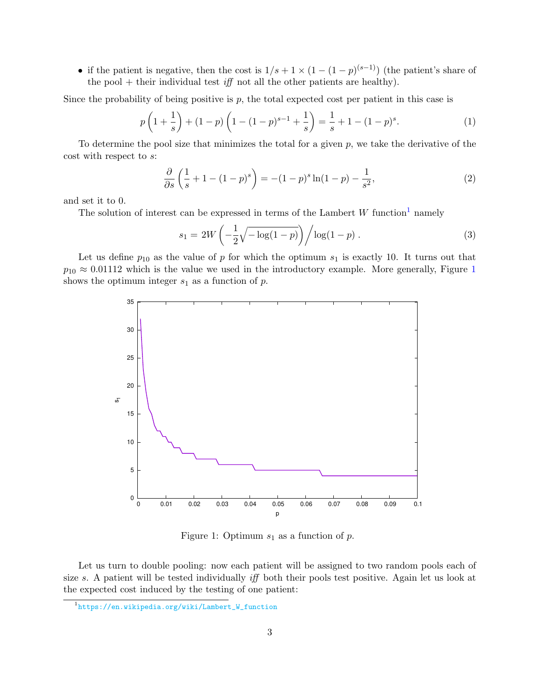• if the patient is negative, then the cost is  $1/s + 1 \times (1 - (1 - p)^{(s-1)})$  (the patient's share of the pool  $+$  their individual test *iff* not all the other patients are healthy).

Since the probability of being positive is  $p$ , the total expected cost per patient in this case is

$$
p\left(1+\frac{1}{s}\right) + (1-p)\left(1-(1-p)^{s-1}+\frac{1}{s}\right) = \frac{1}{s} + 1 - (1-p)^s.
$$
 (1)

To determine the pool size that minimizes the total for a given  $p$ , we take the derivative of the cost with respect to s:

$$
\frac{\partial}{\partial s} \left( \frac{1}{s} + 1 - (1 - p)^s \right) = -(1 - p)^s \ln(1 - p) - \frac{1}{s^2},\tag{2}
$$

and set it to 0.

The solution of interest can be expressed in terms of the Lambert  $W$  function<sup>[1](#page-2-0)</sup> namely

$$
s_1 = 2W\left(-\frac{1}{2}\sqrt{-\log(1-p)}\right) / \log(1-p) . \tag{3}
$$

Let us define  $p_{10}$  as the value of p for which the optimum  $s_1$  is exactly 10. It turns out that  $p_{10} \approx 0.01112$  $p_{10} \approx 0.01112$  $p_{10} \approx 0.01112$  which is the value we used in the introductory example. More generally, Figure 1 shows the optimum integer  $s_1$  as a function of  $p$ .



<span id="page-2-1"></span>Figure 1: Optimum  $s_1$  as a function of p.

Let us turn to double pooling: now each patient will be assigned to two random pools each of size s. A patient will be tested individually *iff* both their pools test positive. Again let us look at the expected cost induced by the testing of one patient:

<span id="page-2-0"></span><sup>1</sup> [https://en.wikipedia.org/wiki/Lambert\\_W\\_function](https://en.wikipedia.org/wiki/Lambert_W_function)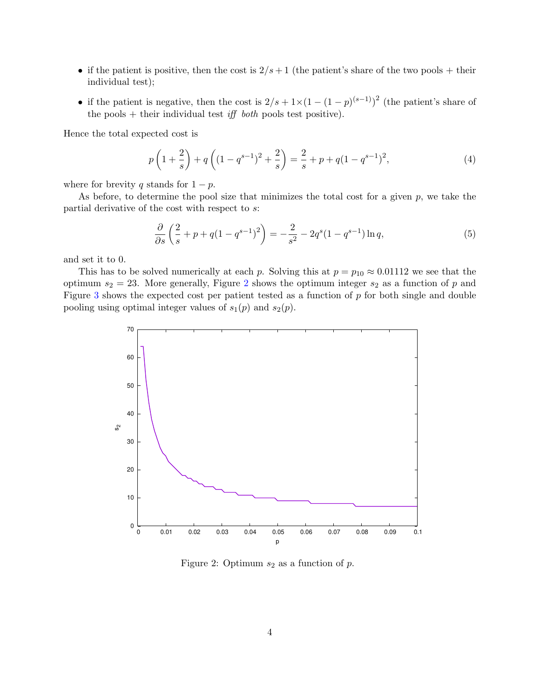- if the patient is positive, then the cost is  $2/s + 1$  (the patient's share of the two pools + their individual test);
- if the patient is negative, then the cost is  $2/s + 1 \times (1 (1 p)^{(s-1)})^2$  (the patient's share of the pools + their individual test *iff both* pools test positive).

Hence the total expected cost is

$$
p\left(1+\frac{2}{s}\right) + q\left((1-q^{s-1})^2 + \frac{2}{s}\right) = \frac{2}{s} + p + q(1-q^{s-1})^2,
$$
\n(4)

where for brevity q stands for  $1 - p$ .

As before, to determine the pool size that minimizes the total cost for a given  $p$ , we take the partial derivative of the cost with respect to s:

$$
\frac{\partial}{\partial s} \left( \frac{2}{s} + p + q(1 - q^{s-1})^2 \right) = -\frac{2}{s^2} - 2q^s (1 - q^{s-1}) \ln q,
$$
\n(5)

and set it to 0.

This has to be solved numerically at each p. Solving this at  $p = p_{10} \approx 0.01112$  we see that the optimum  $s_2 = 23$  $s_2 = 23$  $s_2 = 23$ . More generally, Figure 2 shows the optimum integer  $s_2$  as a function of p and Figure [3](#page-4-0) shows the expected cost per patient tested as a function of  $p$  for both single and double pooling using optimal integer values of  $s_1(p)$  and  $s_2(p)$ .



<span id="page-3-0"></span>Figure 2: Optimum  $s_2$  as a function of p.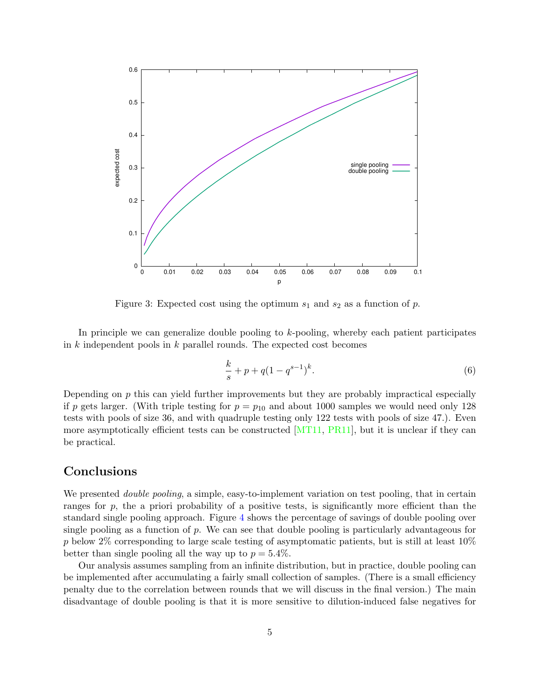

<span id="page-4-0"></span>Figure 3: Expected cost using the optimum  $s_1$  and  $s_2$  as a function of p.

In principle we can generalize double pooling to  $k$ -pooling, whereby each patient participates in  $k$  independent pools in  $k$  parallel rounds. The expected cost becomes

$$
\frac{k}{s} + p + q(1 - q^{s-1})^k.
$$
 (6)

Depending on  $p$  this can yield further improvements but they are probably impractical especially if p gets larger. (With triple testing for  $p = p_{10}$  and about 1000 samples we would need only 128 tests with pools of size 36, and with quadruple testing only 122 tests with pools of size 47.). Even more asymptotically efficient tests can be constructed  $[MT11, PR11]$  $[MT11, PR11]$  $[MT11, PR11]$ , but it is unclear if they can be practical.

# Conclusions

We presented *double pooling*, a simple, easy-to-implement variation on test pooling, that in certain ranges for  $p$ , the a priori probability of a positive tests, is significantly more efficient than the standard single pooling approach. Figure [4](#page-5-2) shows the percentage of savings of double pooling over single pooling as a function of  $p$ . We can see that double pooling is particularly advantageous for p below  $2\%$  corresponding to large scale testing of asymptomatic patients, but is still at least  $10\%$ better than single pooling all the way up to  $p = 5.4\%$ .

Our analysis assumes sampling from an infinite distribution, but in practice, double pooling can be implemented after accumulating a fairly small collection of samples. (There is a small efficiency penalty due to the correlation between rounds that we will discuss in the final version.) The main disadvantage of double pooling is that it is more sensitive to dilution-induced false negatives for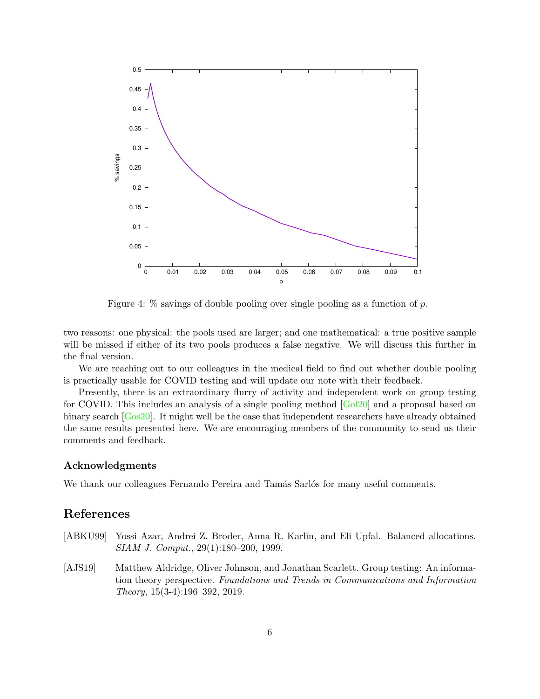

<span id="page-5-2"></span>Figure 4:  $\%$  savings of double pooling over single pooling as a function of p.

two reasons: one physical: the pools used are larger; and one mathematical: a true positive sample will be missed if either of its two pools produces a false negative. We will discuss this further in the final version.

We are reaching out to our colleagues in the medical field to find out whether double pooling is practically usable for COVID testing and will update our note with their feedback.

Presently, there is an extraordinary flurry of activity and independent work on group testing for COVID. This includes an analysis of a single pooling method [\[Gol20\]](#page-6-10) and a proposal based on binary search [\[Gos20\]](#page-6-11). It might well be the case that independent researchers have already obtained the same results presented here. We are encouraging members of the community to send us their comments and feedback.

#### Acknowledgments

We thank our colleagues Fernando Pereira and Tamás Sarlós for many useful comments.

# References

- <span id="page-5-1"></span>[ABKU99] Yossi Azar, Andrei Z. Broder, Anna R. Karlin, and Eli Upfal. Balanced allocations. SIAM J. Comput., 29(1):180–200, 1999.
- <span id="page-5-0"></span>[AJS19] Matthew Aldridge, Oliver Johnson, and Jonathan Scarlett. Group testing: An information theory perspective. Foundations and Trends in Communications and Information Theory, 15(3-4):196–392, 2019.